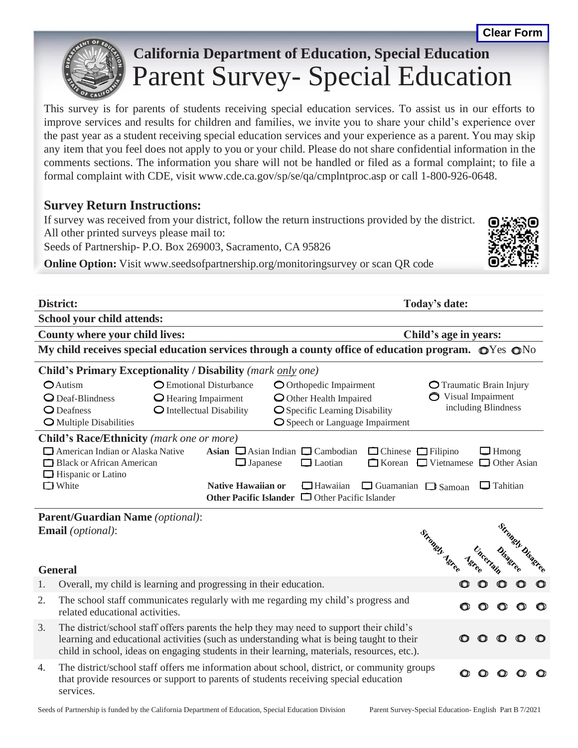

## **California Department of Education, Special Education** Parent Survey- Special Education

This survey is for parents of students receiving special education services. To assist us in our efforts to improve services and results for children and families, we invite you to share your child's experience over the past year as a student receiving special education services and your experience as a parent. You may skip any item that you feel does not apply to you or your child. Please do not share confidential information in the comments sections. The information you share will not be handled or filed as a formal complaint; to file a formal complaint with CDE, visit [www.cde.ca.gov/sp/se/qa/cmplntproc.asp](http://www.cde.ca.gov/sp/se/qa/cmplntproc.asp) or call 1-800-926-0648.

## **Survey Return Instructions:**

If survey was received from your district, follow the return instructions provided by the district. All other printed surveys please mail to:

Seeds of Partnership- P.O. Box 269003, Sacramento, CA 95826

**Online Option:** Visit [www.seedsofpartnership.org/monitoringsurvey](http://www.seedsofpartnership.org/monitoringsurvey) or scan QR code

| District:<br>Today's date:                                                                                                  |                                                                                                                           |                     |  |                          |             |  |  |  |
|-----------------------------------------------------------------------------------------------------------------------------|---------------------------------------------------------------------------------------------------------------------------|---------------------|--|--------------------------|-------------|--|--|--|
|                                                                                                                             | <b>School your child attends:</b>                                                                                         |                     |  |                          |             |  |  |  |
| County where your child lives:<br>Child's age in years:                                                                     |                                                                                                                           |                     |  |                          |             |  |  |  |
| My child receives special education services through a county office of education program. $\mathbb{O}Y$ es $\mathbb{O}N^0$ |                                                                                                                           |                     |  |                          |             |  |  |  |
|                                                                                                                             | <b>Child's Primary Exceptionality / Disability (mark only one)</b>                                                        |                     |  |                          |             |  |  |  |
|                                                                                                                             | OAutism<br>O Emotional Disturbance<br>O Orthopedic Impairment                                                             |                     |  | O Traumatic Brain Injury |             |  |  |  |
|                                                                                                                             | $\bigcirc$ Deaf-Blindness<br>O Hearing Impairment<br>O Other Health Impaired                                              | ◯ Visual Impairment |  |                          |             |  |  |  |
| $\bigcirc$ Deafness<br>O Intellectual Disability<br>O Specific Learning Disability                                          |                                                                                                                           |                     |  | including Blindness      |             |  |  |  |
| O Speech or Language Impairment<br>O Multiple Disabilities                                                                  |                                                                                                                           |                     |  |                          |             |  |  |  |
|                                                                                                                             | <b>Child's Race/Ethnicity</b> (mark one or more)                                                                          |                     |  |                          |             |  |  |  |
|                                                                                                                             | American Indian or Alaska Native<br>Asian $\Box$ Asian Indian $\Box$ Cambodian                                            |                     |  |                          |             |  |  |  |
|                                                                                                                             | $\Box$ Chinese $\Box$ Filipino<br>Black or African American<br>□ Korean □ Vietnamese<br>$\Box$ Japanese<br>$\Box$ Laotian |                     |  | $\Box$ Hmong             | Other Asian |  |  |  |
|                                                                                                                             | $\Box$ Hispanic or Latino                                                                                                 |                     |  |                          |             |  |  |  |
|                                                                                                                             | $\Box$ White<br><b>Native Hawaiian or</b><br>$\Box$ Hawaiian<br>$\Box$ Guamanian $\Box$ Samoan                            |                     |  | $\Box$ Tahitian          |             |  |  |  |
|                                                                                                                             | Other Pacific Islander $\Box$ Other Pacific Islander                                                                      |                     |  |                          |             |  |  |  |
|                                                                                                                             |                                                                                                                           |                     |  |                          |             |  |  |  |
|                                                                                                                             | <b>Parent/Guardian Name</b> (optional):                                                                                   |                     |  |                          |             |  |  |  |
|                                                                                                                             | Strongly Disagree<br><b>Email</b> (optional):<br>Strongely Asree                                                          |                     |  |                          |             |  |  |  |
|                                                                                                                             |                                                                                                                           |                     |  |                          |             |  |  |  |
|                                                                                                                             |                                                                                                                           |                     |  |                          |             |  |  |  |
|                                                                                                                             | <b>General</b>                                                                                                            | <b>Astee</b>        |  |                          |             |  |  |  |
| 1.                                                                                                                          | Overall, my child is learning and progressing in their education.                                                         |                     |  |                          |             |  |  |  |
| 2.                                                                                                                          | The school staff communicates regularly with me regarding my child's progress and                                         |                     |  |                          |             |  |  |  |
|                                                                                                                             | related educational activities.                                                                                           |                     |  |                          |             |  |  |  |
| 3.                                                                                                                          | The district/school staff offers parents the help they may need to support their child's                                  |                     |  |                          |             |  |  |  |
|                                                                                                                             | learning and educational activities (such as understanding what is being taught to their                                  |                     |  | $\circ$                  |             |  |  |  |
|                                                                                                                             | child in school, ideas on engaging students in their learning, materials, resources, etc.).                               |                     |  |                          |             |  |  |  |
| 4.                                                                                                                          | The district/school staff offers me information about school, district, or community groups                               |                     |  |                          |             |  |  |  |
|                                                                                                                             | that provide resources or support to parents of students receiving special education                                      |                     |  |                          |             |  |  |  |

services.